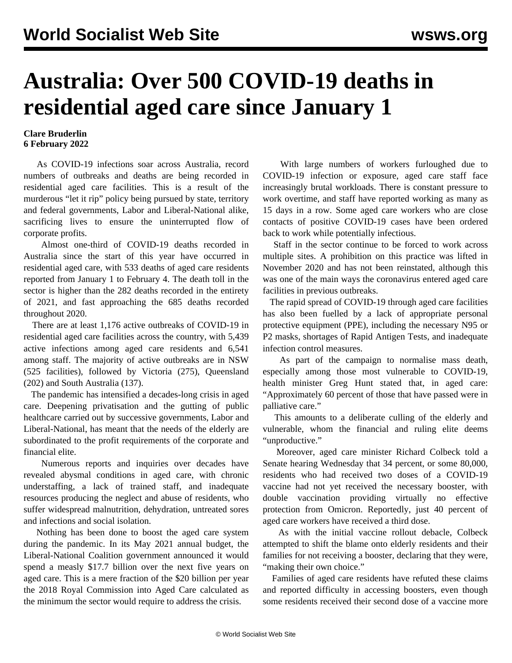## **Australia: Over 500 COVID-19 deaths in residential aged care since January 1**

## **Clare Bruderlin 6 February 2022**

 As COVID-19 infections soar across Australia, record numbers of outbreaks and deaths are being recorded in residential aged care facilities. This is a result of the murderous "let it rip" policy being pursued by state, territory and federal governments, Labor and Liberal-National alike, sacrificing lives to ensure the uninterrupted flow of corporate profits.

 Almost one-third of COVID-19 deaths recorded in Australia since the start of this year have occurred in residential aged care, with 533 deaths of aged care residents reported from January 1 to February 4. The death toll in the sector is higher than the 282 deaths recorded in the entirety of 2021, and fast approaching the 685 deaths recorded throughout 2020.

 There are at least 1,176 active outbreaks of COVID-19 in residential aged care facilities across the country, with 5,439 active infections among aged care residents and 6,541 among staff. The majority of active outbreaks are in NSW (525 facilities), followed by Victoria (275), Queensland (202) and South Australia (137).

 The pandemic has intensified a decades-long crisis in aged care. Deepening privatisation and the gutting of public healthcare carried out by successive governments, Labor and Liberal-National, has meant that the needs of the elderly are subordinated to the profit requirements of the corporate and financial elite.

 Numerous reports and inquiries over decades have revealed abysmal conditions in aged care, with chronic understaffing, a lack of trained staff, and inadequate resources producing the neglect and abuse of residents, who suffer widespread malnutrition, dehydration, untreated sores and infections and social isolation.

 Nothing has been done to boost the aged care system during the pandemic. In its May 2021 annual budget, the Liberal-National Coalition government announced it would spend a measly \$17.7 billion over the next five years on aged care. This is a mere fraction of the \$20 billion per year the 2018 Royal Commission into Aged Care calculated as the minimum the sector would require to address the crisis.

 With large numbers of workers furloughed due to COVID-19 infection or exposure, aged care staff face increasingly brutal workloads. There is constant pressure to work overtime, and staff have reported working as many as 15 days in a row. Some aged care workers who are close contacts of positive COVID-19 cases have been ordered back to work while potentially infectious.

 Staff in the sector continue to be forced to work across multiple sites. A prohibition on this practice was lifted in November 2020 and has not been reinstated, although this was one of the main ways the coronavirus entered aged care facilities in previous outbreaks.

 The rapid spread of COVID-19 through aged care facilities has also been fuelled by a lack of appropriate personal protective equipment (PPE), including the necessary N95 or P2 masks, shortages of Rapid Antigen Tests, and inadequate infection control measures.

 As part of the campaign to normalise mass death, especially among those most vulnerable to COVID-19, health minister Greg Hunt stated that, in aged care: "Approximately 60 percent of those that have passed were in palliative care."

 This amounts to a deliberate culling of the elderly and vulnerable, whom the financial and ruling elite deems "unproductive."

 Moreover, aged care minister Richard Colbeck told a Senate hearing Wednesday that 34 percent, or some 80,000, residents who had received two doses of a COVID-19 vaccine had not yet received the necessary booster, with double vaccination providing virtually no effective protection from Omicron. Reportedly, just 40 percent of aged care workers have received a third dose.

 As with the initial vaccine rollout debacle, Colbeck attempted to shift the blame onto elderly residents and their families for not receiving a booster, declaring that they were, "making their own choice."

 Families of aged care residents have refuted these claims and reported difficulty in accessing boosters, even though some residents received their second dose of a vaccine more